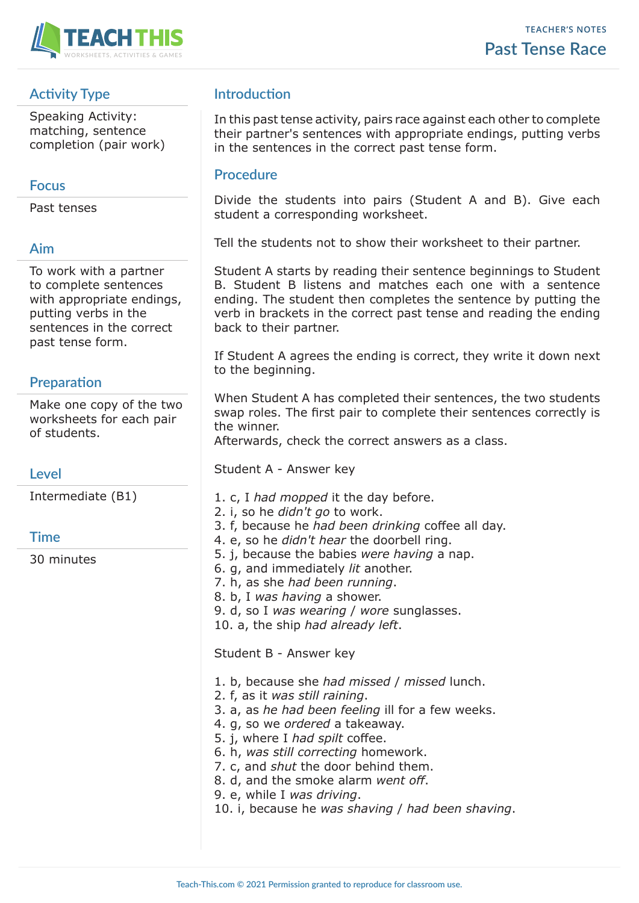

# **Activity Type**

Speaking Activity: matching, sentence completion (pair work)

### **Focus**

Past tenses

### **Aim**

To work with a partner to complete sentences with appropriate endings, putting verbs in the sentences in the correct past tense form.

## **Preparation**

Make one copy of the two worksheets for each pair of students.

**Level**

Intermediate (B1)

### **Time**

30 minutes

# **Introduction**

In this past tense activity, pairs race against each other to complete their partner's sentences with appropriate endings, putting verbs in the sentences in the correct past tense form.

### **Procedure**

Divide the students into pairs (Student A and B). Give each student a corresponding worksheet.

Tell the students not to show their worksheet to their partner.

Student A starts by reading their sentence beginnings to Student B. Student B listens and matches each one with a sentence ending. The student then completes the sentence by putting the verb in brackets in the correct past tense and reading the ending back to their partner.

If Student A agrees the ending is correct, they write it down next to the beginning.

When Student A has completed their sentences, the two students swap roles. The first pair to complete their sentences correctly is the winner.

Afterwards, check the correct answers as a class.

Student A - Answer key

- 1. c, I *had mopped* it the day before.
- 2. i, so he *didn't go* to work.
- 3. f, because he *had been drinking* coffee all day.
- 4. e, so he *didn't hear* the doorbell ring.
- 5. j, because the babies *were having* a nap.
- 6. g, and immediately *lit* another.
- 7. h, as she *had been running*.
- 8. b, I *was having* a shower.
- 9. d, so I *was wearing* / *wore* sunglasses.
- 10. a, the ship *had already left*.

Student B - Answer key

- 1. b, because she *had missed* / *missed* lunch.
- 2. f, as it *was still raining*.
- 3. a, as *he had been feeling* ill for a few weeks.
- 4. g, so we *ordered* a takeaway.
- 5. j, where I *had spilt* coffee.
- 6. h, *was still correcting* homework.
- 7. c, and *shut* the door behind them.
- 8. d, and the smoke alarm *went off*.
- 9. e, while I *was driving*.
- 10. i, because he *was shaving* / *had been shaving*.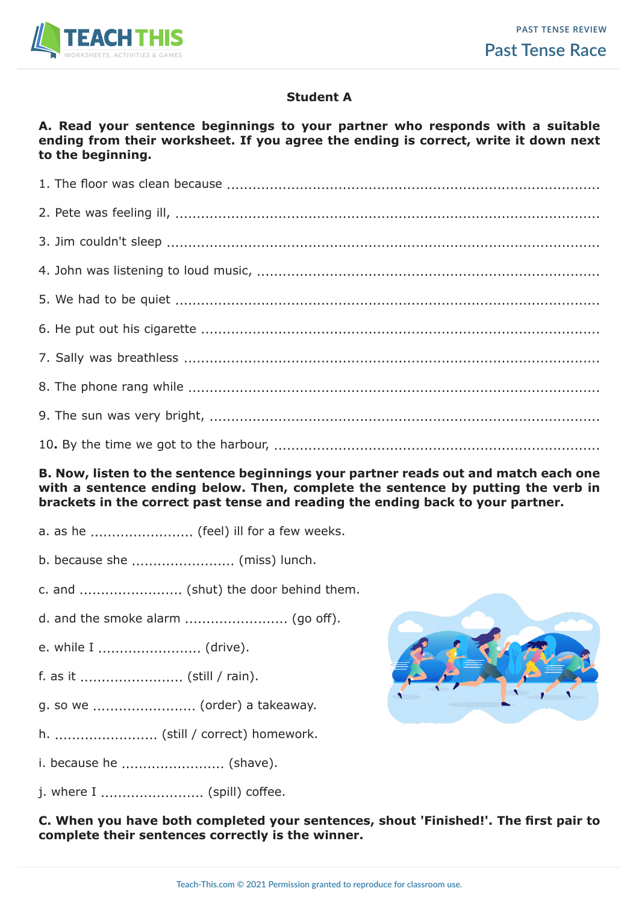

### **Student A**

#### **A. Read your sentence beginnings to your partner who responds with a suitable ending from their worksheet. If you agree the ending is correct, write it down next to the beginning.**

#### **B. Now, listen to the sentence beginnings your partner reads out and match each one with a sentence ending below. Then, complete the sentence by putting the verb in brackets in the correct past tense and reading the ending back to your partner.**

- a. as he ............................ (feel) ill for a few weeks.
- b. because she ........................ (miss) lunch.
- c. and ........................ (shut) the door behind them.
- d. and the smoke alarm ........................ (go off).
- e. while I ........................... (drive).
- f. as it ........................ (still / rain).
- g. so we ........................ (order) a takeaway.
- h. ........................ (still / correct) homework.
- i. because he .......................... (shave).
- j. where I ........................ (spill) coffee.

**C. When you have both completed your sentences, shout 'Finished!'. The first pair to complete their sentences correctly is the winner.**